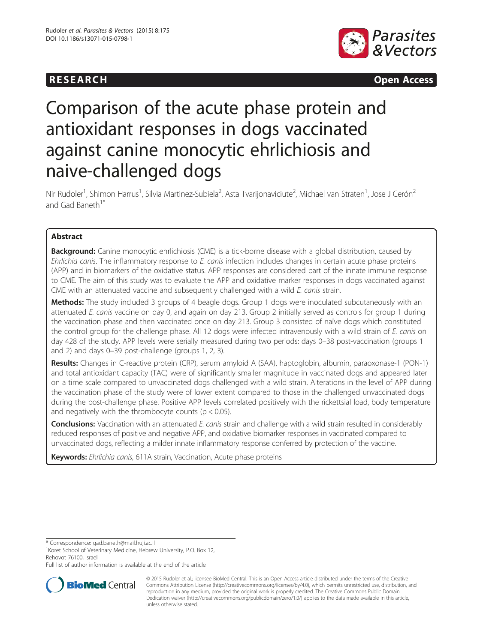# **RESEARCH RESEARCH CONSUMING ACCESS**



# Comparison of the acute phase protein and antioxidant responses in dogs vaccinated against canine monocytic ehrlichiosis and naive-challenged dogs

Nir Rudoler<sup>1</sup>, Shimon Harrus<sup>1</sup>, Silvia Martinez-Subiela<sup>2</sup>, Asta Tvarijonaviciute<sup>2</sup>, Michael van Straten<sup>1</sup>, Jose J Cerón<sup>2</sup> and Gad Baneth<sup>1</sup>

# Abstract

Background: Canine monocytic ehrlichiosis (CME) is a tick-borne disease with a global distribution, caused by Ehrlichia canis. The inflammatory response to E. canis infection includes changes in certain acute phase proteins (APP) and in biomarkers of the oxidative status. APP responses are considered part of the innate immune response to CME. The aim of this study was to evaluate the APP and oxidative marker responses in dogs vaccinated against CME with an attenuated vaccine and subsequently challenged with a wild E. canis strain.

**Methods:** The study included 3 groups of 4 beagle dogs. Group 1 dogs were inoculated subcutaneously with an attenuated E. canis vaccine on day 0, and again on day 213. Group 2 initially served as controls for group 1 during the vaccination phase and then vaccinated once on day 213. Group 3 consisted of naïve dogs which constituted the control group for the challenge phase. All 12 dogs were infected intravenously with a wild strain of E. canis on day 428 of the study. APP levels were serially measured during two periods: days 0–38 post-vaccination (groups 1 and 2) and days 0–39 post-challenge (groups 1, 2, 3).

Results: Changes in C-reactive protein (CRP), serum amyloid A (SAA), haptoglobin, albumin, paraoxonase-1 (PON-1) and total antioxidant capacity (TAC) were of significantly smaller magnitude in vaccinated dogs and appeared later on a time scale compared to unvaccinated dogs challenged with a wild strain. Alterations in the level of APP during the vaccination phase of the study were of lower extent compared to those in the challenged unvaccinated dogs during the post-challenge phase. Positive APP levels correlated positively with the rickettsial load, body temperature and negatively with the thrombocyte counts ( $p < 0.05$ ).

Conclusions: Vaccination with an attenuated E. canis strain and challenge with a wild strain resulted in considerably reduced responses of positive and negative APP, and oxidative biomarker responses in vaccinated compared to unvaccinated dogs, reflecting a milder innate inflammatory response conferred by protection of the vaccine.

Keywords: Ehrlichia canis, 611A strain, Vaccination, Acute phase proteins

\* Correspondence: [gad.baneth@mail.huji.ac.il](mailto:gad.baneth@mail.huji.ac.il) <sup>1</sup>

Full list of author information is available at the end of the article



<sup>© 2015</sup> Rudoler et al.; licensee BioMed Central. This is an Open Access article distributed under the terms of the Creative Commons Attribution License [\(http://creativecommons.org/licenses/by/4.0\)](http://creativecommons.org/licenses/by/4.0), which permits unrestricted use, distribution, and reproduction in any medium, provided the original work is properly credited. The Creative Commons Public Domain Dedication waiver [\(http://creativecommons.org/publicdomain/zero/1.0/](http://creativecommons.org/publicdomain/zero/1.0/)) applies to the data made available in this article, unless otherwise stated.

<sup>&</sup>lt;sup>1</sup> Koret School of Veterinary Medicine, Hebrew University, P.O. Box 12, Rehovot 76100, Israel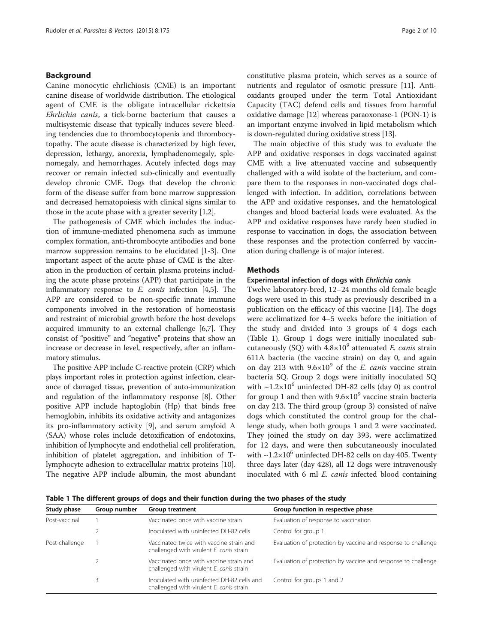#### <span id="page-1-0"></span>Background

Canine monocytic ehrlichiosis (CME) is an important canine disease of worldwide distribution. The etiological agent of CME is the obligate intracellular rickettsia Ehrlichia canis, a tick-borne bacterium that causes a multisystemic disease that typically induces severe bleeding tendencies due to thrombocytopenia and thrombocytopathy. The acute disease is characterized by high fever, depression, lethargy, anorexia, lymphadenomegaly, splenomegaly, and hemorrhages. Acutely infected dogs may recover or remain infected sub-clinically and eventually develop chronic CME. Dogs that develop the chronic form of the disease suffer from bone marrow suppression and decreased hematopoiesis with clinical signs similar to those in the acute phase with a greater severity [\[1,2\]](#page-8-0).

The pathogenesis of CME which includes the induction of immune-mediated phenomena such as immune complex formation, anti-thrombocyte antibodies and bone marrow suppression remains to be elucidated [\[1-3](#page-8-0)]. One important aspect of the acute phase of CME is the alteration in the production of certain plasma proteins including the acute phase proteins (APP) that participate in the inflammatory response to  $E$ . *canis* infection [\[4,5](#page-8-0)]. The APP are considered to be non-specific innate immune components involved in the restoration of homeostasis and restraint of microbial growth before the host develops acquired immunity to an external challenge [[6,7](#page-9-0)]. They consist of "positive" and "negative" proteins that show an increase or decrease in level, respectively, after an inflammatory stimulus.

The positive APP include C-reactive protein (CRP) which plays important roles in protection against infection, clearance of damaged tissue, prevention of auto-immunization and regulation of the inflammatory response [\[8\]](#page-9-0). Other positive APP include haptoglobin (Hp) that binds free hemoglobin, inhibits its oxidative activity and antagonizes its pro-inflammatory activity [\[9\]](#page-9-0), and serum amyloid A (SAA) whose roles include detoxification of endotoxins, inhibition of lymphocyte and endothelial cell proliferation, inhibition of platelet aggregation, and inhibition of Tlymphocyte adhesion to extracellular matrix proteins [[10](#page-9-0)]. The negative APP include albumin, the most abundant constitutive plasma protein, which serves as a source of nutrients and regulator of osmotic pressure [[11](#page-9-0)]. Antioxidants grouped under the term Total Antioxidant Capacity (TAC) defend cells and tissues from harmful oxidative damage [\[12\]](#page-9-0) whereas paraoxonase-1 (PON-1) is an important enzyme involved in lipid metabolism which is down-regulated during oxidative stress [\[13\]](#page-9-0).

The main objective of this study was to evaluate the APP and oxidative responses in dogs vaccinated against CME with a live attenuated vaccine and subsequently challenged with a wild isolate of the bacterium, and compare them to the responses in non-vaccinated dogs challenged with infection. In addition, correlations between the APP and oxidative responses, and the hematological changes and blood bacterial loads were evaluated. As the APP and oxidative responses have rarely been studied in response to vaccination in dogs, the association between these responses and the protection conferred by vaccination during challenge is of major interest.

#### Methods

#### Experimental infection of dogs with Ehrlichia canis

Twelve laboratory-bred, 12–24 months old female beagle dogs were used in this study as previously described in a publication on the efficacy of this vaccine [\[14](#page-9-0)]. The dogs were acclimatized for 4–5 weeks before the initiation of the study and divided into 3 groups of 4 dogs each (Table 1). Group 1 dogs were initially inoculated subcutaneously (SQ) with  $4.8\times10^9$  attenuated *E. canis* strain 611A bacteria (the vaccine strain) on day 0, and again on day 213 with  $9.6 \times 10^9$  of the *E. canis* vaccine strain bacteria SQ. Group 2 dogs were initially inoculated SQ with  $\sim$ 1.2×10<sup>6</sup> uninfected DH-82 cells (day 0) as control for group 1 and then with  $9.6 \times 10^9$  vaccine strain bacteria on day 213. The third group (group 3) consisted of naïve dogs which constituted the control group for the challenge study, when both groups 1 and 2 were vaccinated. They joined the study on day 393, were acclimatized for 12 days, and were then subcutaneously inoculated with  $\sim$ 1.2×10<sup>6</sup> uninfected DH-82 cells on day 405. Twenty three days later (day 428), all 12 dogs were intravenously inoculated with 6 ml *E. canis* infected blood containing

Table 1 The different groups of dogs and their function during the two phases of the study

| Study phase<br>Group number |  | <b>Group treatment</b>                                                                 | Group function in respective phase                            |  |  |
|-----------------------------|--|----------------------------------------------------------------------------------------|---------------------------------------------------------------|--|--|
| Post-vaccinal               |  | Vaccinated once with vaccine strain                                                    | Evaluation of response to vaccination                         |  |  |
|                             |  | Inoculated with uninfected DH-82 cells                                                 | Control for group 1                                           |  |  |
| Post-challenge              |  | Vaccinated twice with vaccine strain and<br>challenged with virulent E. canis strain   | Evaluation of protection by vaccine and response to challenge |  |  |
|                             |  | Vaccinated once with vaccine strain and<br>challenged with virulent E. canis strain    | Evaluation of protection by vaccine and response to challenge |  |  |
|                             |  | Inoculated with uninfected DH-82 cells and<br>challenged with virulent E. canis strain | Control for groups 1 and 2                                    |  |  |
|                             |  |                                                                                        |                                                               |  |  |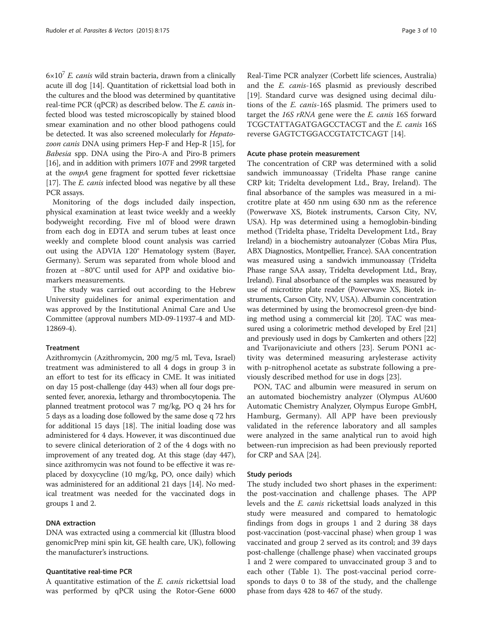$6\times10^{7}$  E. canis wild strain bacteria, drawn from a clinically acute ill dog [[14](#page-9-0)]. Quantitation of rickettsial load both in the cultures and the blood was determined by quantitative real-time PCR (qPCR) as described below. The E. canis infected blood was tested microscopically by stained blood smear examination and no other blood pathogens could be detected. It was also screened molecularly for *Hepato*zoon canis DNA using primers Hep-F and Hep-R [\[15](#page-9-0)], for Babesia spp. DNA using the Piro-A and Piro-B primers [[16](#page-9-0)], and in addition with primers 107F and 299R targeted at the ompA gene fragment for spotted fever rickettsiae [[17](#page-9-0)]. The *E. canis* infected blood was negative by all these PCR assays.

Monitoring of the dogs included daily inspection, physical examination at least twice weekly and a weekly bodyweight recording. Five ml of blood were drawn from each dog in EDTA and serum tubes at least once weekly and complete blood count analysis was carried out using the ADVIA 120® Hematology system (Bayer, Germany). Serum was separated from whole blood and frozen at −80°C until used for APP and oxidative biomarkers measurements.

The study was carried out according to the Hebrew University guidelines for animal experimentation and was approved by the Institutional Animal Care and Use Committee (approval numbers MD-09-11937-4 and MD-12869-4).

# Treatment

Azithromycin (Azithromycin, 200 mg/5 ml, Teva, Israel) treatment was administered to all 4 dogs in group 3 in an effort to test for its efficacy in CME. It was initiated on day 15 post-challenge (day 443) when all four dogs presented fever, anorexia, lethargy and thrombocytopenia. The planned treatment protocol was 7 mg/kg, PO q 24 hrs for 5 days as a loading dose followed by the same dose q 72 hrs for additional 15 days [\[18\]](#page-9-0). The initial loading dose was administered for 4 days. However, it was discontinued due to severe clinical deterioration of 2 of the 4 dogs with no improvement of any treated dog. At this stage (day 447), since azithromycin was not found to be effective it was replaced by doxycycline (10 mg/kg, PO, once daily) which was administered for an additional 21 days [\[14\]](#page-9-0). No medical treatment was needed for the vaccinated dogs in groups 1 and 2.

# DNA extraction

DNA was extracted using a commercial kit (Illustra blood genomicPrep mini spin kit, GE health care, UK), following the manufacturer's instructions.

#### Quantitative real-time PCR

A quantitative estimation of the E. canis rickettsial load was performed by qPCR using the Rotor-Gene 6000 Real-Time PCR analyzer (Corbett life sciences, Australia) and the E. canis-16S plasmid as previously described [[19\]](#page-9-0). Standard curve was designed using decimal dilutions of the E. canis-16S plasmid. The primers used to target the 16S rRNA gene were the E. canis 16S forward TCGCTATTAGATGAGCCTACGT and the E. canis 16S reverse GAGTCTGGACCGTATCTCAGT [\[14](#page-9-0)].

#### Acute phase protein measurement

The concentration of CRP was determined with a solid sandwich immunoassay (Tridelta Phase range canine CRP kit; Tridelta development Ltd., Bray, Ireland). The final absorbance of the samples was measured in a microtitre plate at 450 nm using 630 nm as the reference (Powerwave XS, Biotek instruments, Carson City, NV, USA). Hp was determined using a hemoglobin-binding method (Tridelta phase, Tridelta Development Ltd., Bray Ireland) in a biochemistry autoanalyzer (Cobas Mira Plus, ABX Diagnostics, Montpellier, France). SAA concentration was measured using a sandwich immunoassay (Tridelta Phase range SAA assay, Tridelta development Ltd., Bray, Ireland). Final absorbance of the samples was measured by use of microtitre plate reader (Powerwave XS, Biotek instruments, Carson City, NV, USA). Albumin concentration was determined by using the bromocresol green-dye binding method using a commercial kit [[20](#page-9-0)]. TAC was measured using a colorimetric method developed by Erel [\[21](#page-9-0)] and previously used in dogs by Camkerten and others [\[22](#page-9-0)] and Tvarijonaviciute and others [\[23](#page-9-0)]. Serum PON1 activity was determined measuring arylesterase activity with p-nitrophenol acetate as substrate following a previously described method for use in dogs [[23\]](#page-9-0).

PON, TAC and albumin were measured in serum on an automated biochemistry analyzer (Olympus AU600 Automatic Chemistry Analyzer, Olympus Europe GmbH, Hamburg, Germany). All APP have been previously validated in the reference laboratory and all samples were analyzed in the same analytical run to avoid high between-run imprecision as had been previously reported for CRP and SAA [\[24\]](#page-9-0).

#### Study periods

The study included two short phases in the experiment: the post-vaccination and challenge phases. The APP levels and the E. canis rickettsial loads analyzed in this study were measured and compared to hematologic findings from dogs in groups 1 and 2 during 38 days post-vaccination (post-vaccinal phase) when group 1 was vaccinated and group 2 served as its control; and 39 days post-challenge (challenge phase) when vaccinated groups 1 and 2 were compared to unvaccinated group 3 and to each other (Table [1](#page-1-0)). The post-vaccinal period corresponds to days 0 to 38 of the study, and the challenge phase from days 428 to 467 of the study.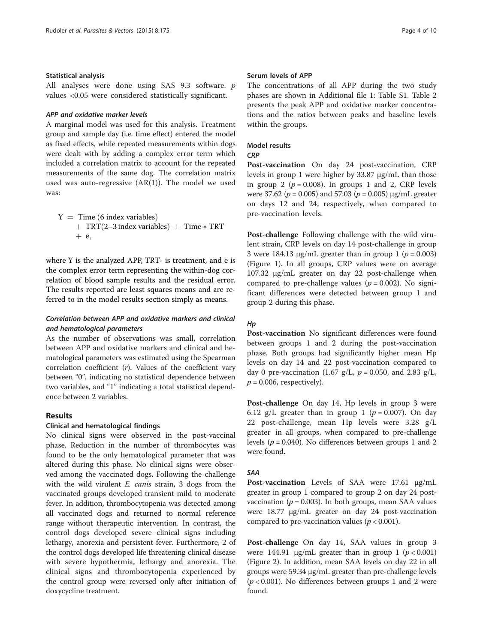#### Statistical analysis

All analyses were done using SAS 9.3 software. p values <0.05 were considered statistically significant.

# APP and oxidative marker levels

A marginal model was used for this analysis. Treatment group and sample day (i.e. time effect) entered the model as fixed effects, while repeated measurements within dogs were dealt with by adding a complex error term which included a correlation matrix to account for the repeated measurements of the same dog. The correlation matrix used was auto-regressive (AR(1)). The model we used was:

$$
Y = Time (6 index variables) + TRT(2-3 index variables) + Time * TRT + e,
$$

where Y is the analyzed APP, TRT- is treatment, and e is the complex error term representing the within-dog correlation of blood sample results and the residual error. The results reported are least squares means and are referred to in the model results section simply as means.

# Correlation between APP and oxidative markers and clinical and hematological parameters

As the number of observations was small, correlation between APP and oxidative markers and clinical and hematological parameters was estimated using the Spearman correlation coefficient  $(r)$ . Values of the coefficient vary between "0", indicating no statistical dependence between two variables, and "1" indicating a total statistical dependence between 2 variables.

# Results

#### Clinical and hematological findings

No clinical signs were observed in the post-vaccinal phase. Reduction in the number of thrombocytes was found to be the only hematological parameter that was altered during this phase. No clinical signs were observed among the vaccinated dogs. Following the challenge with the wild virulent *E. canis* strain, 3 dogs from the vaccinated groups developed transient mild to moderate fever. In addition, thrombocytopenia was detected among all vaccinated dogs and returned to normal reference range without therapeutic intervention. In contrast, the control dogs developed severe clinical signs including lethargy, anorexia and persistent fever. Furthermore, 2 of the control dogs developed life threatening clinical disease with severe hypothermia, lethargy and anorexia. The clinical signs and thrombocytopenia experienced by the control group were reversed only after initiation of doxycycline treatment.

# Serum levels of APP

The concentrations of all APP during the two study phases are shown in Additional file [1:](#page-8-0) Table S1. Table [2](#page-4-0) presents the peak APP and oxidative marker concentrations and the ratios between peaks and baseline levels within the groups.

# Model results

#### **CRP**

Post-vaccination On day 24 post-vaccination, CRP levels in group 1 were higher by 33.87 μg/mL than those in group 2 ( $p = 0.008$ ). In groups 1 and 2, CRP levels were 37.62 ( $p = 0.005$ ) and 57.03 ( $p = 0.005$ ) μg/mL greater on days 12 and 24, respectively, when compared to pre-vaccination levels.

Post-challenge Following challenge with the wild virulent strain, CRP levels on day 14 post-challenge in group 3 were 184.13  $\mu$ g/mL greater than in group 1 ( $p = 0.003$ ) (Figure [1](#page-5-0)). In all groups, CRP values were on average 107.32 μg/mL greater on day 22 post-challenge when compared to pre-challenge values ( $p = 0.002$ ). No significant differences were detected between group 1 and group 2 during this phase.

# Hp

Post-vaccination No significant differences were found between groups 1 and 2 during the post-vaccination phase. Both groups had significantly higher mean Hp levels on day 14 and 22 post-vaccination compared to day 0 pre-vaccination (1.67 g/L,  $p = 0.050$ , and 2.83 g/L,  $p = 0.006$ , respectively).

Post-challenge On day 14, Hp levels in group 3 were 6.12 g/L greater than in group 1 ( $p = 0.007$ ). On day 22 post-challenge, mean Hp levels were 3.28 g/L greater in all groups, when compared to pre-challenge levels ( $p = 0.040$ ). No differences between groups 1 and 2 were found.

#### SAA

Post-vaccination Levels of SAA were 17.61 <sup>μ</sup>g/mL greater in group 1 compared to group 2 on day 24 postvaccination ( $p = 0.003$ ). In both groups, mean SAA values were 18.77 μg/mL greater on day 24 post-vaccination compared to pre-vaccination values ( $p < 0.001$ ).

Post-challenge On day 14, SAA values in group 3 were 144.91  $\mu$ g/mL greater than in group 1 ( $p < 0.001$ ) (Figure [2](#page-5-0)). In addition, mean SAA levels on day 22 in all groups were 59.34 μg/mL greater than pre-challenge levels  $(p < 0.001)$ . No differences between groups 1 and 2 were found.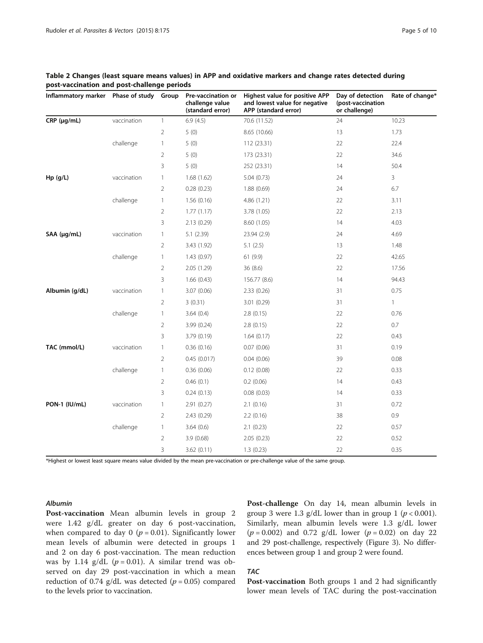| Inflammatory marker  Phase of study  Group |             |                | Pre-vaccination or<br>challenge value<br>(standard error) | Highest value for positive APP<br>and lowest value for negative<br>APP (standard error) | Day of detection<br>(post-vaccination<br>or challenge) | Rate of change* |
|--------------------------------------------|-------------|----------------|-----------------------------------------------------------|-----------------------------------------------------------------------------------------|--------------------------------------------------------|-----------------|
| $CRP$ ( $\mu$ g/mL)                        | vaccination | $\mathbf{1}$   | 6.9(4.5)                                                  | 70.6 (11.52)                                                                            | 24                                                     | 10.23           |
|                                            |             | $\overline{2}$ | 5(0)                                                      | 8.65 (10.66)                                                                            | 13                                                     | 1.73            |
|                                            | challenge   | $\mathbf{1}$   | 5(0)                                                      | 112 (23.31)                                                                             | 22                                                     | 22.4            |
|                                            |             | $\overline{2}$ | 5(0)                                                      | 173 (23.31)                                                                             | 22                                                     | 34.6            |
|                                            |             | 3              | 5(0)                                                      | 252 (23.31)                                                                             | 14                                                     | 50.4            |
| Hp (g/L)                                   | vaccination | $\mathbf{1}$   | 1.68(1.62)                                                | 5.04(0.73)                                                                              | 24                                                     | 3               |
|                                            |             | $\overline{2}$ | 0.28(0.23)                                                | 1.88(0.69)                                                                              | 24                                                     | 6.7             |
|                                            | challenge   | $\mathbf{1}$   | 1.56(0.16)                                                | 4.86(1.21)                                                                              | 22                                                     | 3.11            |
|                                            |             | 2              | 1.77(1.17)                                                | 3.78 (1.05)                                                                             | 22                                                     | 2.13            |
|                                            |             | 3              | 2.13(0.29)                                                | 8.60(1.05)                                                                              | 14                                                     | 4.03            |
| SAA (µg/mL)                                | vaccination | $\mathbf{1}$   | 5.1 (2.39)                                                | 23.94 (2.9)                                                                             | 24                                                     | 4.69            |
|                                            |             | $\overline{2}$ | 3.43 (1.92)                                               | 5.1(2.5)                                                                                | 13                                                     | 1.48            |
|                                            | challenge   | $\mathbf{1}$   | 1.43(0.97)                                                | 61(9.9)                                                                                 | 22                                                     | 42.65           |
|                                            |             | 2              | 2.05(1.29)                                                | 36(8.6)                                                                                 | 22                                                     | 17.56           |
|                                            |             | 3              | 1.66(0.43)                                                | 156.77 (8.6)                                                                            | 14                                                     | 94.43           |
| Albumin (g/dL)                             | vaccination | $\mathbf{1}$   | 3.07(0.06)                                                | 2.33(0.26)                                                                              | 31                                                     | 0.75            |
|                                            |             | 2              | 3(0.31)                                                   | 3.01 (0.29)                                                                             | 31                                                     | $\mathbf{1}$    |
|                                            | challenge   | $\mathbf{1}$   | 3.64(0.4)                                                 | 2.8(0.15)                                                                               | 22                                                     | 0.76            |
|                                            |             | $\overline{2}$ | 3.99(0.24)                                                | 2.8(0.15)                                                                               | 22                                                     | 0.7             |
|                                            |             | 3              | 3.79(0.19)                                                | 1.64(0.17)                                                                              | 22                                                     | 0.43            |
| TAC (mmol/L)                               | vaccination | $\mathbf{1}$   | 0.36(0.16)                                                | 0.07(0.06)                                                                              | 31                                                     | 0.19            |
|                                            |             | $\overline{2}$ | 0.45(0.017)                                               | 0.04(0.06)                                                                              | 39                                                     | 0.08            |
|                                            | challenge   | $\mathbf{1}$   | 0.36(0.06)                                                | 0.12(0.08)                                                                              | 22                                                     | 0.33            |
|                                            |             | $\overline{2}$ | 0.46(0.1)                                                 | 0.2(0.06)                                                                               | 14                                                     | 0.43            |
|                                            |             | 3              | 0.24(0.13)                                                | 0.08(0.03)                                                                              | 14                                                     | 0.33            |
| PON-1 (IU/mL)                              | vaccination | $\mathbf{1}$   | 2.91(0.27)                                                | 2.1(0.16)                                                                               | 31                                                     | 0.72            |
|                                            |             | 2              | 2.43(0.29)                                                | 2.2(0.16)                                                                               | 38                                                     | 0.9             |
|                                            | challenge   | $\mathbf{1}$   | 3.64(0.6)                                                 | 2.1(0.23)                                                                               | 22                                                     | 0.57            |
|                                            |             | $\overline{2}$ | 3.9(0.68)                                                 | 2.05(0.23)                                                                              | 22                                                     | 0.52            |
|                                            |             | 3              | 3.62(0.11)                                                | 1.3(0.23)                                                                               | 22                                                     | 0.35            |

# <span id="page-4-0"></span>Table 2 Changes (least square means values) in APP and oxidative markers and change rates detected during post-vaccination and post-challenge periods

\*Highest or lowest least square means value divided by the mean pre-vaccination or pre-challenge value of the same group.

#### Albumin

Post-vaccination Mean albumin levels in group 2 were 1.42 g/dL greater on day 6 post-vaccination, when compared to day 0 ( $p = 0.01$ ). Significantly lower mean levels of albumin were detected in groups 1 and 2 on day 6 post-vaccination. The mean reduction was by 1.14 g/dL  $(p = 0.01)$ . A similar trend was observed on day 29 post-vaccination in which a mean reduction of 0.74 g/dL was detected ( $p = 0.05$ ) compared to the levels prior to vaccination.

Post-challenge On day 14, mean albumin levels in group 3 were 1.3 g/dL lower than in group 1 ( $p < 0.001$ ). Similarly, mean albumin levels were 1.3 g/dL lower  $(p = 0.002)$  and 0.72 g/dL lower  $(p = 0.02)$  on day 22 and 29 post-challenge, respectively (Figure [3\)](#page-6-0). No differences between group 1 and group 2 were found.

# TAC

Post-vaccination Both groups 1 and 2 had significantly lower mean levels of TAC during the post-vaccination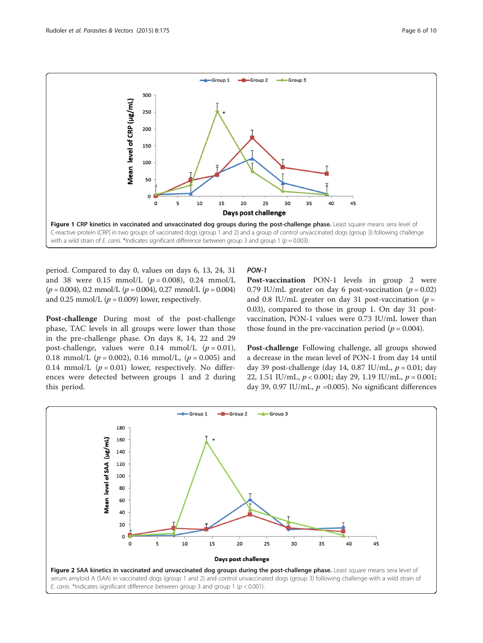<span id="page-5-0"></span>

period. Compared to day 0, values on days 6, 13, 24, 31 and 38 were 0.15 mmol/L  $(p = 0.008)$ , 0.24 mmol/L  $(p = 0.004)$ , 0.2 mmol/L  $(p = 0.004)$ , 0.27 mmol/L  $(p = 0.004)$ and 0.25 mmol/L ( $p = 0.009$ ) lower, respectively.

Post-challenge During most of the post-challenge phase, TAC levels in all groups were lower than those in the pre-challenge phase. On days 8, 14, 22 and 29 post-challenge, values were  $0.14$  mmol/L ( $p = 0.01$ ), 0.18 mmol/L ( $p = 0.002$ ), 0.16 mmol/L, ( $p = 0.005$ ) and 0.14 mmol/L  $(p = 0.01)$  lower, respectively. No differences were detected between groups 1 and 2 during this period.

# PON-1

Post-vaccination PON-1 levels in group 2 were 0.79 IU/mL greater on day 6 post-vaccination ( $p = 0.02$ ) and 0.8 IU/mL greater on day 31 post-vaccination ( $p =$ 0.03), compared to those in group 1. On day 31 postvaccination, PON-1 values were 0.73 IU/mL lower than those found in the pre-vaccination period ( $p = 0.004$ ).

Post-challenge Following challenge, all groups showed a decrease in the mean level of PON-1 from day 14 until day 39 post-challenge (day 14, 0.87 IU/mL,  $p = 0.01$ ; day 22, 1.51 IU/mL,  $p < 0.001$ ; day 29, 1.19 IU/mL,  $p = 0.001$ ; day 39, 0.97 IU/mL,  $p = 0.005$ ). No significant differences

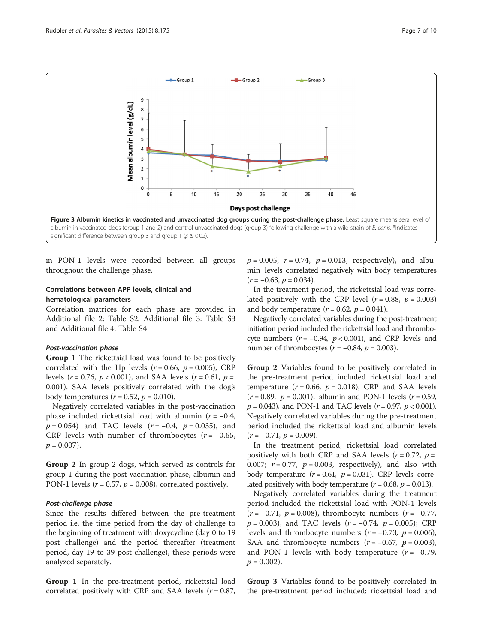<span id="page-6-0"></span>

in PON-1 levels were recorded between all groups throughout the challenge phase.

# Correlations between APP levels, clinical and hematological parameters

Correlation matrices for each phase are provided in Additional file [2:](#page-8-0) Table S2, Additional file [3:](#page-8-0) Table S3 and Additional file [4:](#page-8-0) Table S4

#### Post-vaccination phase

Group 1 The rickettsial load was found to be positively correlated with the Hp levels ( $r = 0.66$ ,  $p = 0.005$ ), CRP levels ( $r = 0.76$ ,  $p < 0.001$ ), and SAA levels ( $r = 0.61$ ,  $p =$ 0.001). SAA levels positively correlated with the dog's body temperatures  $(r = 0.52, p = 0.010)$ .

Negatively correlated variables in the post-vaccination phase included rickettsial load with albumin ( $r = -0.4$ ,  $p = 0.054$ ) and TAC levels ( $r = -0.4$ ,  $p = 0.035$ ), and CRP levels with number of thrombocytes  $(r = -0.65,$  $p = 0.007$ ).

Group 2 In group 2 dogs, which served as controls for group 1 during the post-vaccination phase, albumin and PON-1 levels ( $r = 0.57$ ,  $p = 0.008$ ), correlated positively.

#### Post-challenge phase

Since the results differed between the pre-treatment period i.e. the time period from the day of challenge to the beginning of treatment with doxycycline (day 0 to 19 post challenge) and the period thereafter (treatment period, day 19 to 39 post-challenge), these periods were analyzed separately.

Group 1 In the pre-treatment period, rickettsial load correlated positively with CRP and SAA levels  $(r = 0.87,$   $p = 0.005$ ;  $r = 0.74$ ,  $p = 0.013$ , respectively), and albumin levels correlated negatively with body temperatures  $(r = -0.63, p = 0.034).$ 

In the treatment period, the rickettsial load was correlated positively with the CRP level  $(r = 0.88, p = 0.003)$ and body temperature  $(r = 0.62, p = 0.041)$ .

Negatively correlated variables during the post-treatment initiation period included the rickettsial load and thrombocyte numbers ( $r = -0.94$ ,  $p < 0.001$ ), and CRP levels and number of thrombocytes ( $r = -0.84$ ,  $p = 0.003$ ).

Group 2 Variables found to be positively correlated in the pre-treatment period included rickettsial load and temperature ( $r = 0.66$ ,  $p = 0.018$ ), CRP and SAA levels  $(r = 0.89, p = 0.001)$ , albumin and PON-1 levels  $(r = 0.59, p = 0.001)$  $p = 0.043$ ), and PON-1 and TAC levels ( $r = 0.97$ ,  $p < 0.001$ ). Negatively correlated variables during the pre-treatment period included the rickettsial load and albumin levels  $(r = -0.71, p = 0.009).$ 

In the treatment period, rickettsial load correlated positively with both CRP and SAA levels ( $r = 0.72$ ,  $p =$ 0.007;  $r = 0.77$ ,  $p = 0.003$ , respectively), and also with body temperature  $(r = 0.61, p = 0.031)$ . CRP levels correlated positively with body temperature  $(r = 0.68, p = 0.013)$ .

Negatively correlated variables during the treatment period included the rickettsial load with PON-1 levels  $(r = -0.71, p = 0.008)$ , thrombocyte numbers  $(r = -0.77,$  $p = 0.003$ ), and TAC levels ( $r = -0.74$ ,  $p = 0.005$ ); CRP levels and thrombocyte numbers ( $r = -0.73$ ,  $p = 0.006$ ), SAA and thrombocyte numbers  $(r = -0.67, p = 0.003)$ , and PON-1 levels with body temperature  $(r = -0.79)$ ,  $p = 0.002$ ).

Group 3 Variables found to be positively correlated in the pre-treatment period included: rickettsial load and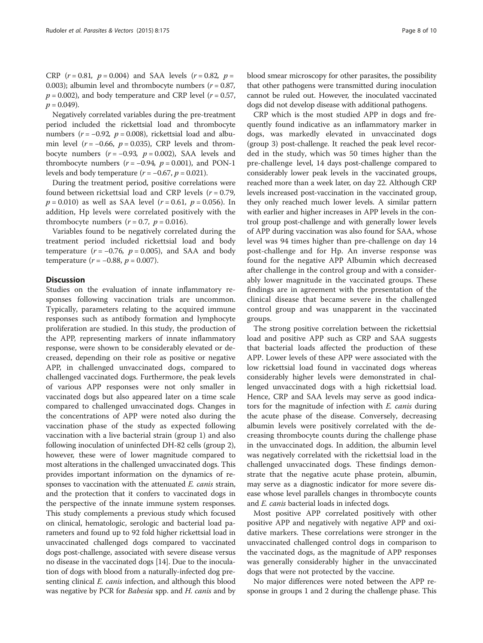CRP  $(r = 0.81, p = 0.004)$  and SAA levels  $(r = 0.82, p = 0.62)$ 0.003); albumin level and thrombocyte numbers ( $r = 0.87$ ,  $p = 0.002$ ), and body temperature and CRP level ( $r = 0.57$ ,  $p = 0.049$ .

Negatively correlated variables during the pre-treatment period included the rickettsial load and thrombocyte numbers ( $r = -0.92$ ,  $p = 0.008$ ), rickettsial load and albumin level ( $r = -0.66$ ,  $p = 0.035$ ), CRP levels and thrombocyte numbers  $(r = -0.93, p = 0.002)$ , SAA levels and thrombocyte numbers  $(r = -0.94, p = 0.001)$ , and PON-1 levels and body temperature  $(r = -0.67, p = 0.021)$ .

During the treatment period, positive correlations were found between rickettsial load and CRP levels  $(r = 0.79,$  $p = 0.010$ ) as well as SAA level ( $r = 0.61$ ,  $p = 0.056$ ). In addition, Hp levels were correlated positively with the thrombocyte numbers  $(r = 0.7, p = 0.016)$ .

Variables found to be negatively correlated during the treatment period included rickettsial load and body temperature  $(r = -0.76, p = 0.005)$ , and SAA and body temperature ( $r = -0.88$ ,  $p = 0.007$ ).

#### **Discussion**

Studies on the evaluation of innate inflammatory responses following vaccination trials are uncommon. Typically, parameters relating to the acquired immune responses such as antibody formation and lymphocyte proliferation are studied. In this study, the production of the APP, representing markers of innate inflammatory response, were shown to be considerably elevated or decreased, depending on their role as positive or negative APP, in challenged unvaccinated dogs, compared to challenged vaccinated dogs. Furthermore, the peak levels of various APP responses were not only smaller in vaccinated dogs but also appeared later on a time scale compared to challenged unvaccinated dogs. Changes in the concentrations of APP were noted also during the vaccination phase of the study as expected following vaccination with a live bacterial strain (group 1) and also following inoculation of uninfected DH-82 cells (group 2), however, these were of lower magnitude compared to most alterations in the challenged unvaccinated dogs. This provides important information on the dynamics of responses to vaccination with the attenuated *E. canis* strain, and the protection that it confers to vaccinated dogs in the perspective of the innate immune system responses. This study complements a previous study which focused on clinical, hematologic, serologic and bacterial load parameters and found up to 92 fold higher rickettsial load in unvaccinated challenged dogs compared to vaccinated dogs post-challenge, associated with severe disease versus no disease in the vaccinated dogs [\[14\]](#page-9-0). Due to the inoculation of dogs with blood from a naturally-infected dog presenting clinical *E. canis* infection, and although this blood was negative by PCR for *Babesia* spp. and *H. canis* and by blood smear microscopy for other parasites, the possibility that other pathogens were transmitted during inoculation cannot be ruled out. However, the inoculated vaccinated dogs did not develop disease with additional pathogens.

CRP which is the most studied APP in dogs and frequently found indicative as an inflammatory marker in dogs, was markedly elevated in unvaccinated dogs (group 3) post-challenge. It reached the peak level recorded in the study, which was 50 times higher than the pre-challenge level, 14 days post-challenge compared to considerably lower peak levels in the vaccinated groups, reached more than a week later, on day 22. Although CRP levels increased post-vaccination in the vaccinated group, they only reached much lower levels. A similar pattern with earlier and higher increases in APP levels in the control group post-challenge and with generally lower levels of APP during vaccination was also found for SAA, whose level was 94 times higher than pre-challenge on day 14 post-challenge and for Hp. An inverse response was found for the negative APP Albumin which decreased after challenge in the control group and with a considerably lower magnitude in the vaccinated groups. These findings are in agreement with the presentation of the clinical disease that became severe in the challenged control group and was unapparent in the vaccinated groups.

The strong positive correlation between the rickettsial load and positive APP such as CRP and SAA suggests that bacterial loads affected the production of these APP. Lower levels of these APP were associated with the low rickettsial load found in vaccinated dogs whereas considerably higher levels were demonstrated in challenged unvaccinated dogs with a high rickettsial load. Hence, CRP and SAA levels may serve as good indicators for the magnitude of infection with E. canis during the acute phase of the disease. Conversely, decreasing albumin levels were positively correlated with the decreasing thrombocyte counts during the challenge phase in the unvaccinated dogs. In addition, the albumin level was negatively correlated with the rickettsial load in the challenged unvaccinated dogs. These findings demonstrate that the negative acute phase protein, albumin, may serve as a diagnostic indicator for more severe disease whose level parallels changes in thrombocyte counts and E. canis bacterial loads in infected dogs.

Most positive APP correlated positively with other positive APP and negatively with negative APP and oxidative markers. These correlations were stronger in the unvaccinated challenged control dogs in comparison to the vaccinated dogs, as the magnitude of APP responses was generally considerably higher in the unvaccinated dogs that were not protected by the vaccine.

No major differences were noted between the APP response in groups 1 and 2 during the challenge phase. This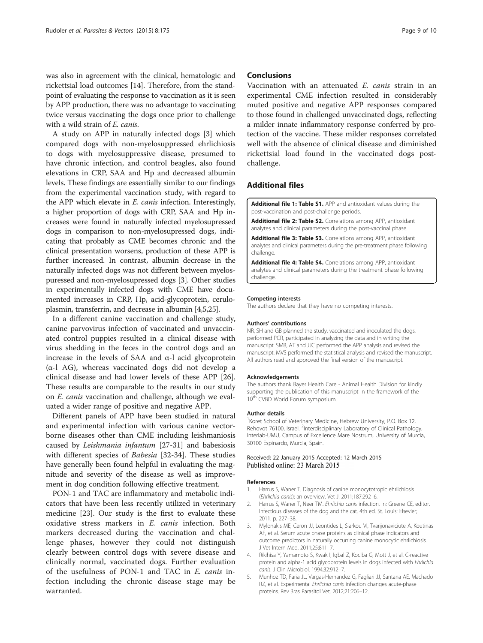<span id="page-8-0"></span>was also in agreement with the clinical, hematologic and rickettsial load outcomes [[14\]](#page-9-0). Therefore, from the standpoint of evaluating the response to vaccination as it is seen by APP production, there was no advantage to vaccinating twice versus vaccinating the dogs once prior to challenge with a wild strain of E. canis.

A study on APP in naturally infected dogs [3] which compared dogs with non-myelosuppressed ehrlichiosis to dogs with myelosuppressive disease, presumed to have chronic infection, and control beagles, also found elevations in CRP, SAA and Hp and decreased albumin levels. These findings are essentially similar to our findings from the experimental vaccination study, with regard to the APP which elevate in E. canis infection. Interestingly, a higher proportion of dogs with CRP, SAA and Hp increases were found in naturally infected myelosupressed dogs in comparison to non-myelosupressed dogs, indicating that probably as CME becomes chronic and the clinical presentation worsens, production of these APP is further increased. In contrast, albumin decrease in the naturally infected dogs was not different between myelospuressed and non-myelosupressed dogs [3]. Other studies in experimentally infected dogs with CME have documented increases in CRP, Hp, acid-glycoprotein, ceruloplasmin, transferrin, and decrease in albumin [4,5,[25](#page-9-0)].

In a different canine vaccination and challenge study, canine parvovirus infection of vaccinated and unvaccinated control puppies resulted in a clinical disease with virus shedding in the feces in the control dogs and an increase in the levels of SAA and α-l acid glycoprotein (α-l AG), whereas vaccinated dogs did not develop a clinical disease and had lower levels of these APP [\[26](#page-9-0)]. These results are comparable to the results in our study on E. canis vaccination and challenge, although we evaluated a wider range of positive and negative APP.

Different panels of APP have been studied in natural and experimental infection with various canine vectorborne diseases other than CME including leishmaniosis caused by Leishmania infantum [[27-31\]](#page-9-0) and babesiosis with different species of Babesia [\[32](#page-9-0)-[34\]](#page-9-0). These studies have generally been found helpful in evaluating the magnitude and severity of the disease as well as improvement in dog condition following effective treatment.

PON-1 and TAC are inflammatory and metabolic indicators that have been less recently utilized in veterinary medicine [[23](#page-9-0)]. Our study is the first to evaluate these oxidative stress markers in E. canis infection. Both markers decreased during the vaccination and challenge phases, however they could not distinguish clearly between control dogs with severe disease and clinically normal, vaccinated dogs. Further evaluation of the usefulness of PON-1 and TAC in E. canis infection including the chronic disease stage may be warranted.

#### Conclusions

Vaccination with an attenuated E. canis strain in an experimental CME infection resulted in considerably muted positive and negative APP responses compared to those found in challenged unvaccinated dogs, reflecting a milder innate inflammatory response conferred by protection of the vaccine. These milder responses correlated well with the absence of clinical disease and diminished rickettsial load found in the vaccinated dogs postchallenge.

# Additional files

[Additional file 1: Table S1.](http://www.parasitesandvectors.com/content/supplementary/s13071-015-0798-1-s1.xlsx) APP and antioxidant values during the post-vaccination and post-challenge periods.

[Additional file 2: Table S2.](http://www.parasitesandvectors.com/content/supplementary/s13071-015-0798-1-s2.docx) Correlations among APP, antioxidant analytes and clinical parameters during the post-vaccinal phase.

[Additional file 3: Table S3.](http://www.parasitesandvectors.com/content/supplementary/s13071-015-0798-1-s3.docx) Correlations among APP, antioxidant analytes and clinical parameters during the pre-treatment phase following challenge.

[Additional file 4: Table S4.](http://www.parasitesandvectors.com/content/supplementary/s13071-015-0798-1-s4.doc) Correlations among APP, antioxidant analytes and clinical parameters during the treatment phase following challenge.

#### Competing interests

The authors declare that they have no competing interests.

#### Authors' contributions

NR, SH and GB planned the study, vaccinated and inoculated the dogs, performed PCR, participated in analyzing the data and in writing the manuscript. SMB, AT and JJC performed the APP analysis and revised the manuscript. MVS performed the statistical analysis and revised the manuscript. All authors read and approved the final version of the manuscript.

#### Acknowledgements

The authors thank Bayer Health Care - Animal Health Division for kindly supporting the publication of this manuscript in the framework of the 10<sup>th</sup> CVBD World Forum symposium.

#### Author details

<sup>1</sup> Koret School of Veterinary Medicine, Hebrew University, P.O. Box 12, Rehovot 76100, Israel. <sup>2</sup>Interdisciplinary Laboratory of Clinical Pathology, Interlab-UMU, Campus of Excellence Mare Nostrum, University of Murcia, 30100 Espinardo, Murcia, Spain.

#### Received: 22 January 2015 Accepted: 12 March 2015 Published online: 23 March 2015

#### References

- 1. Harrus S, Waner T. Diagnosis of canine monocytotropic ehrlichiosis (Ehrlichia canis): an overview. Vet J. 2011;187:292–6.
- 2. Harrus S, Waner T, Neer TM. Ehrlichia canis infection. In: Greene CE, editor. Infectious diseases of the dog and the cat. 4th ed. St. Louis: Elsevier; 2011. p. 227–38.
- 3. Mylonakis ME, Ceron JJ, Leontides L, Siarkou VI, Tvarijonaviciute A, Koutinas AF, et al. Serum acute phase proteins as clinical phase indicators and outcome predictors in naturally occurring canine monocytic ehrlichiosis. J Vet Intern Med. 2011;25:811–7.
- 4. Rikihisa Y, Yamamoto S, Kwak I, Igbal Z, Kociba G, Mott J, et al. C-reactive protein and alpha-1 acid glycoprotein levels in dogs infected with Ehrlichia canis. J Clin Microbiol. 1994;32:912–7.
- 5. Munhoz TD, Faria JL, Vargas-Hernandez G, Fagliari JJ, Santana AE, Machado RZ, et al. Experimental Ehrlichia canis infection changes acute-phase proteins. Rev Bras Parasitol Vet. 2012;21:206–12.